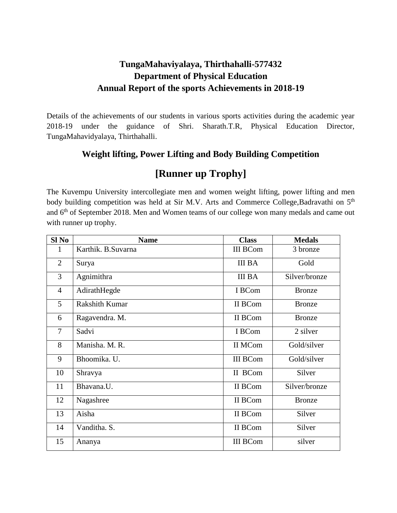#### **TungaMahaviyalaya, Thirthahalli-577432 Department of Physical Education Annual Report of the sports Achievements in 2018-19**

Details of the achievements of our students in various sports activities during the academic year 2018-19 under the guidance of Shri. Sharath.T.R, Physical Education Director, TungaMahavidyalaya, Thirthahalli.

#### **Weight lifting, Power Lifting and Body Building Competition**

### **[Runner up Trophy]**

The Kuvempu University intercollegiate men and women weight lifting, power lifting and men body building competition was held at Sir M.V. Arts and Commerce College, Badravathi on 5<sup>th</sup> and  $6<sup>th</sup>$  of September 2018. Men and Women teams of our college won many medals and came out with runner up trophy.

| Sl <sub>No</sub> | <b>Name</b>           | <b>Class</b>    | <b>Medals</b> |
|------------------|-----------------------|-----------------|---------------|
| 1                | Karthik. B.Suvarna    | <b>III BCom</b> | 3 bronze      |
| $\overline{2}$   | Surya                 | <b>III BA</b>   | Gold          |
| 3                | Agnimithra            | <b>III BA</b>   | Silver/bronze |
| $\overline{4}$   | AdirathHegde          | I BCom          | <b>Bronze</b> |
| 5                | <b>Rakshith Kumar</b> | II BCom         | <b>Bronze</b> |
| 6                | Ragavendra. M.        | II BCom         | <b>Bronze</b> |
| $\overline{7}$   | Sadvi                 | I BCom          | 2 silver      |
| 8                | Manisha, M. R.        | II MCom         | Gold/silver   |
| 9                | Bhoomika. U.          | <b>III BCom</b> | Gold/silver   |
| 10               | Shravya               | II BCom         | Silver        |
| 11               | Bhavana.U.            | II BCom         | Silver/bronze |
| 12               | Nagashree             | II BCom         | <b>Bronze</b> |
| 13               | Aisha                 | II BCom         | Silver        |
| 14               | Vanditha. S.          | II BCom         | Silver        |
| 15               | Ananya                | <b>III BCom</b> | silver        |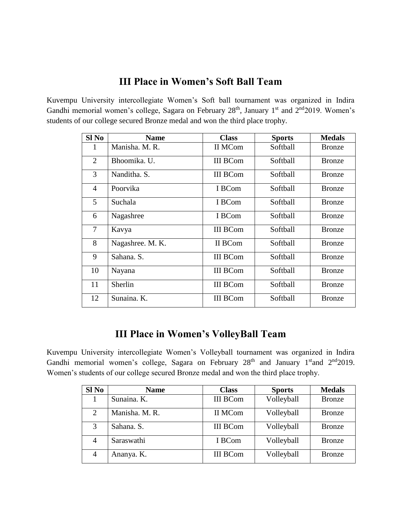### **III Place in Women's Soft Ball Team**

Kuvempu University intercollegiate Women's Soft ball tournament was organized in Indira Gandhi memorial women's college, Sagara on February  $28<sup>th</sup>$ , January  $1<sup>st</sup>$  and  $2<sup>nd</sup>2019$ . Women's students of our college secured Bronze medal and won the third place trophy.

| $SI$ No        | <b>Name</b>      | <b>Class</b>    | <b>Sports</b> | <b>Medals</b> |
|----------------|------------------|-----------------|---------------|---------------|
| 1              | Manisha, M. R.   | II MCom         | Softball      | <b>Bronze</b> |
| $\overline{2}$ | Bhoomika. U.     | <b>III BCom</b> | Softball      | <b>Bronze</b> |
| 3              | Nanditha, S.     | <b>III BCom</b> | Softball      | <b>Bronze</b> |
| $\overline{4}$ | Poorvika         | I BCom          | Softball      | <b>Bronze</b> |
| 5              | Suchala          | I BCom          | Softball      | <b>Bronze</b> |
| 6              | Nagashree        | I BCom          | Softball      | <b>Bronze</b> |
| 7              | Kavya            | <b>III BCom</b> | Softball      | <b>Bronze</b> |
| 8              | Nagashree. M. K. | II BCom         | Softball      | <b>Bronze</b> |
| 9              | Sahana. S.       | <b>III BCom</b> | Softball      | <b>Bronze</b> |
| 10             | Nayana           | <b>III BCom</b> | Softball      | <b>Bronze</b> |
| 11             | Sherlin          | <b>III BCom</b> | Softball      | <b>Bronze</b> |
| 12             | Sunaina. K.      | <b>III BCom</b> | Softball      | <b>Bronze</b> |

#### **III Place in Women's VolleyBall Team**

Kuvempu University intercollegiate Women's Volleyball tournament was organized in Indira Gandhi memorial women's college, Sagara on February 28<sup>th</sup> and January 1<sup>st</sup>and 2<sup>nd</sup>2019. Women's students of our college secured Bronze medal and won the third place trophy.

| Sl No | <b>Name</b>    | <b>Class</b>    | <b>Sports</b> | <b>Medals</b> |
|-------|----------------|-----------------|---------------|---------------|
|       | Sunaina. K.    | <b>III BCom</b> | Volleyball    | <b>Bronze</b> |
| 2     | Manisha. M. R. | II MCom         | Volleyball    | <b>Bronze</b> |
| 3     | Sahana. S.     | <b>III BCom</b> | Volleyball    | <b>Bronze</b> |
| 4     | Saraswathi     | I BCom          | Volleyball    | <b>Bronze</b> |
| 4     | Ananya. K.     | <b>III BCom</b> | Volleyball    | <b>Bronze</b> |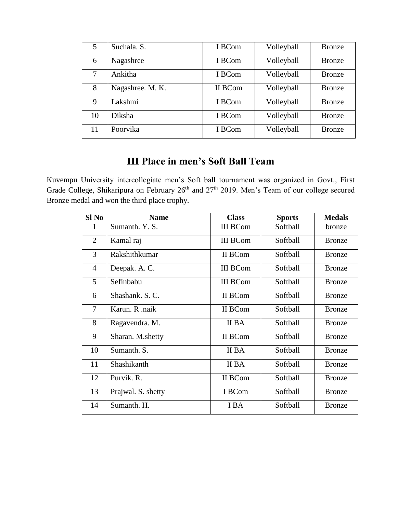| 5  | Suchala. S.      | I BCom  | Volleyball | <b>Bronze</b> |
|----|------------------|---------|------------|---------------|
| 6  | Nagashree        | I BCom  | Volleyball | <b>Bronze</b> |
| 7  | Ankitha          | I BCom  | Volleyball | Bronze        |
| 8  | Nagashree. M. K. | II BCom | Volleyball | <b>Bronze</b> |
| 9  | Lakshmi          | I BCom  | Volleyball | <b>Bronze</b> |
| 10 | Diksha           | I BCom  | Volleyball | <b>Bronze</b> |
| 11 | Poorvika         | I BCom  | Volleyball | <b>Bronze</b> |

# **III Place in men's Soft Ball Team**

Kuvempu University intercollegiate men's Soft ball tournament was organized in Govt., First Grade College, Shikaripura on February 26<sup>th</sup> and 27<sup>th</sup> 2019. Men's Team of our college secured Bronze medal and won the third place trophy.

| $SI$ No        | <b>Name</b>        | <b>Class</b>    | <b>Sports</b> | <b>Medals</b> |
|----------------|--------------------|-----------------|---------------|---------------|
| 1              | Sumanth. Y. S.     | <b>III BCom</b> | Softball      | bronze        |
| 2              | Kamal raj          | <b>III BCom</b> | Softball      | <b>Bronze</b> |
| 3              | Rakshithkumar      | II BCom         | Softball      | <b>Bronze</b> |
| 4              | Deepak. A. C.      | <b>III BCom</b> | Softball      | <b>Bronze</b> |
| 5              | Sefinbabu          | <b>III BCom</b> | Softball      | <b>Bronze</b> |
| 6              | Shashank, S.C.     | II BCom         | Softball      | <b>Bronze</b> |
| $\overline{7}$ | Karun, R. naik     | II BCom         | Softball      | <b>Bronze</b> |
| 8              | Ragavendra. M.     | II BA           | Softball      | <b>Bronze</b> |
| 9              | Sharan. M.shetty   | II BCom         | Softball      | <b>Bronze</b> |
| 10             | Sumanth, S.        | II BA           | Softball      | <b>Bronze</b> |
| 11             | Shashikanth        | II BA           | Softball      | <b>Bronze</b> |
| 12             | Purvik. R.         | II BCom         | Softball      | <b>Bronze</b> |
| 13             | Prajwal. S. shetty | I BCom          | Softball      | <b>Bronze</b> |
| 14             | Sumanth. H.        | I BA            | Softball      | <b>Bronze</b> |